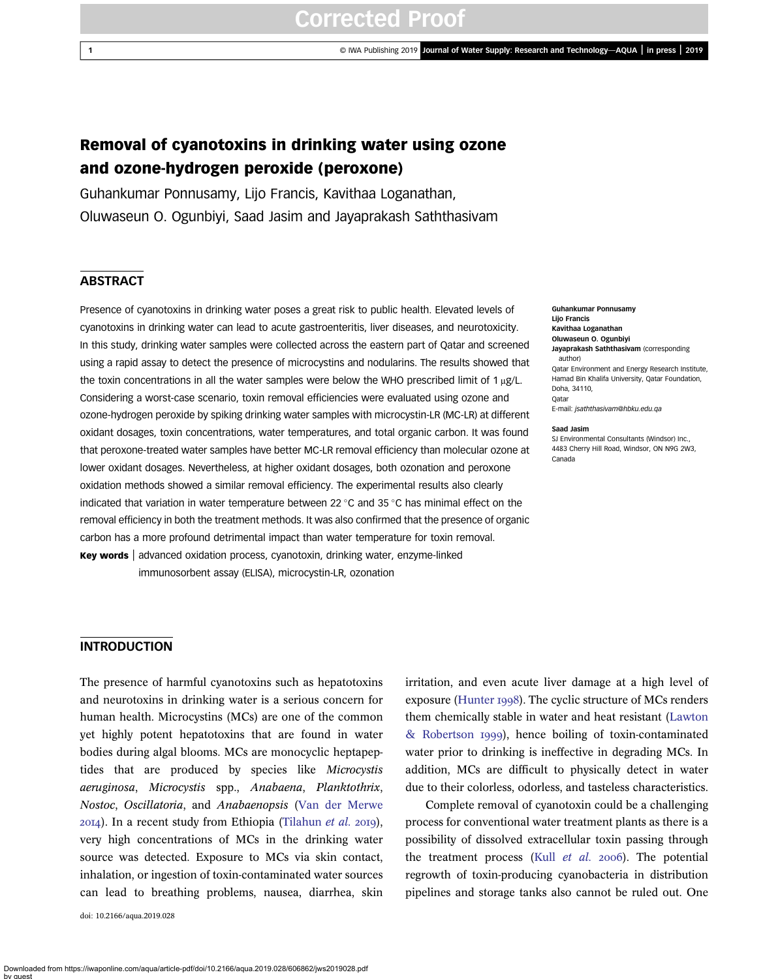# Removal of cyanotoxins in drinking water using ozone and ozone-hydrogen peroxide (peroxone)

Guhankumar Ponnusamy, Lijo Francis, Kavithaa Loganathan, Oluwaseun O. Ogunbiyi, Saad Jasim and Jayaprakash Saththasivam

# **ABSTRACT**

Presence of cyanotoxins in drinking water poses a great risk to public health. Elevated levels of cyanotoxins in drinking water can lead to acute gastroenteritis, liver diseases, and neurotoxicity. In this study, drinking water samples were collected across the eastern part of Qatar and screened using a rapid assay to detect the presence of microcystins and nodularins. The results showed that the toxin concentrations in all the water samples were below the WHO prescribed limit of 1 μg/L. Considering a worst-case scenario, toxin removal efficiencies were evaluated using ozone and ozone-hydrogen peroxide by spiking drinking water samples with microcystin-LR (MC-LR) at different oxidant dosages, toxin concentrations, water temperatures, and total organic carbon. It was found that peroxone-treated water samples have better MC-LR removal efficiency than [molecular ozone](https://www.austinozone.com) at lower oxidant dosages. Nevertheless, at higher oxidant dosages, both ozonation and peroxone oxidation methods showed a similar removal efficiency. The experimental results also clearly indicated that variation in water temperature between 22 °C and 35 °C has minimal effect on the removal efficiency in both the treatment methods. It was also confirmed that the presence of organic carbon has a more profound detrimental impact than water temperature for toxin removal. Key words | advanced oxidation process, cyanotoxin, drinking water, enzyme-linked

immunosorbent assay (ELISA), microcystin-LR, ozonation

Guhankumar Ponnusamy Lijo Francis Kavithaa Loganathan Oluwaseun O. Ogunbiyi Javaprakash Saththasivam (corresponding author) Qatar Environment and Energy Research Institute, Hamad Bin Khalifa University, Qatar Foundation, Doha, 34110, Qatar E-mail: [jsaththasivam@hbku.edu.qa](mailto:jsaththasivam@hbku.edu.qa)

#### Saad Jasim

SJ Environmental Consultants (Windsor) Inc. 4483 Cherry Hill Road, Windsor, ON N9G 2W3, Canada

### **INTRODUCTION**

The presence of harmful cyanotoxins such as hepatotoxins and neurotoxins in drinking water is a serious concern for human health. Microcystins (MCs) are one of the common yet highly potent hepatotoxins that are found in water bodies during algal blooms. MCs are monocyclic heptapeptides that are produced by species like Microcystis aeruginosa, Microcystis spp., Anabaena, Planktothrix, Nostoc, Oscillatoria, and Anabaenopsis [\(Van der Merwe](#page-10-0)  $20I4$ ). In a recent study from Ethiopia ([Tilahun](#page-10-0) et al. 2019), very high concentrations of MCs in the drinking water source was detected. Exposure to MCs via skin contact, inhalation, or ingestion of toxin-contaminated water sources can lead to breathing problems, nausea, diarrhea, skin

doi: 10.2166/aqua.2019.028

irritation, and even acute liver damage at a high level of exposure ([Hunter](#page-9-0) 1998). The cyclic structure of MCs renders them chemically stable in water and heat resistant ([Lawton](#page-10-0) [& Robertson](#page-10-0) 1999), hence boiling of toxin-contaminated water prior to drinking is ineffective in degrading MCs. In addition, MCs are difficult to physically detect in water due to their colorless, odorless, and tasteless characteristics.

Complete removal of cyanotoxin could be a challenging process for conventional water treatment plants as there is a possibility of dissolved extracellular toxin passing through the treatment process (Kull  $et$   $al.$   $2006$ ). The potential regrowth of toxin-producing cyanobacteria in distribution pipelines and storage tanks also cannot be ruled out. One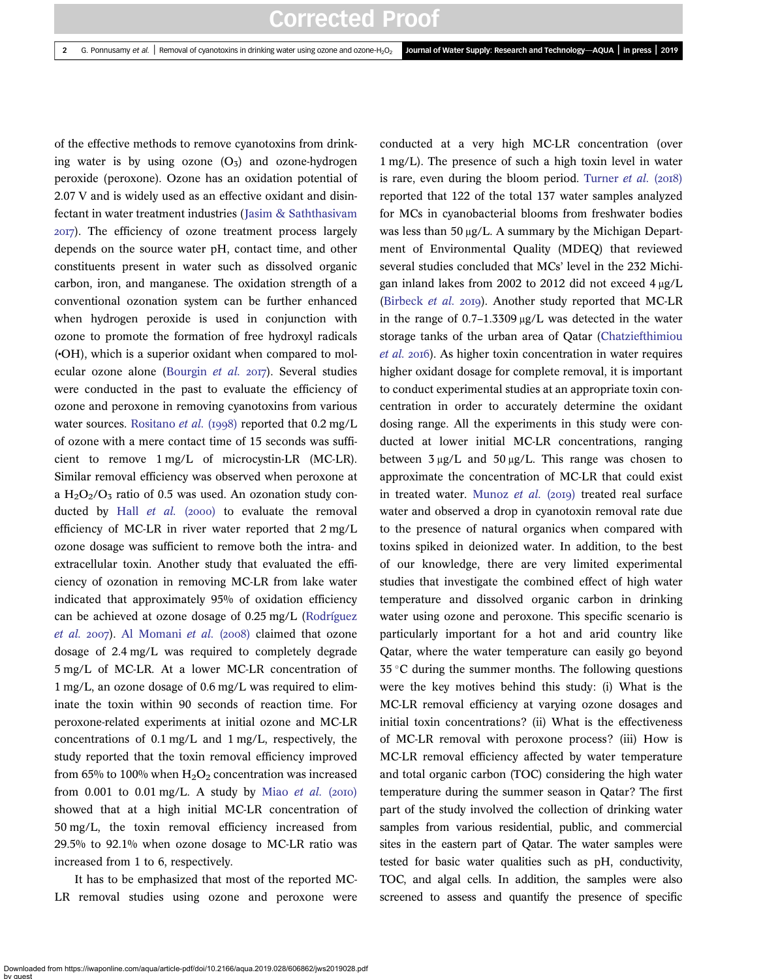of the effective methods to remove cyanotoxins from drinking water is by using ozone  $(O_3)$  and ozone-hydrogen peroxide (peroxone). Ozone has an oxidation potential of 2.07 V and is widely used as an effective oxidant and disinfectant in water treatment industries ([Jasim & Saththasivam](#page-9-0) ). The efficiency of ozone treatment process largely depends on the source water pH, contact time, and other constituents present in water such as dissolved organic carbon, iron, and manganese. The oxidation strength of a conventional ozonation system can be further enhanced when hydrogen peroxide is used in conjunction with ozone to promote the formation of free hydroxyl radicals (•OH), which is a superior oxidant when compared to mol-ecular ozone alone ([Bourgin](#page-9-0) et al. 2017). Several studies were conducted in the past to evaluate the efficiency of ozone and peroxone in removing cyanotoxins from various water sources. [Rositano](#page-10-0) *et al.* (1998) reported that  $0.2 \text{ mg/L}$ of ozone with a mere contact time of 15 seconds was sufficient to remove 1 mg/L of microcystin-LR (MC-LR). Similar removal efficiency was observed when peroxone at a  $H_2O_2/O_3$  ratio of 0.5 was used. An ozonation study conducted by Hall  $et$  al. (2000) to evaluate the removal efficiency of MC-LR in river water reported that 2 mg/L ozone dosage was sufficient to remove both the intra- and extracellular toxin. Another study that evaluated the efficiency of ozonation in removing MC-LR from lake water indicated that approximately 95% of oxidation efficiency can be achieved at ozone dosage of 0.25 mg/L [\(Rodríguez](#page-10-0) [et al.](#page-10-0) 2007). [Al Momani](#page-9-0) et al. (2008) claimed that ozone dosage of 2.4 mg/L was required to completely degrade 5 mg/L of MC-LR. At a lower MC-LR concentration of 1 mg/L, an ozone dosage of 0.6 mg/L was required to eliminate the toxin within 90 seconds of reaction time. For peroxone-related experiments at initial ozone and MC-LR concentrations of 0.1 mg/L and 1 mg/L, respectively, the study reported that the toxin removal efficiency improved from 65% to 100% when  $H_2O_2$  concentration was increased from  $0.001$  to  $0.01$  mg/L. A study by Miao [et al.](#page-10-0) (2010) showed that at a high initial MC-LR concentration of 50 mg/L, the toxin removal efficiency increased from 29.5% to 92.1% when ozone dosage to MC-LR ratio was increased from 1 to 6, respectively.

It has to be emphasized that most of the reported MC-LR removal studies using ozone and peroxone were conducted at a very high MC-LR concentration (over 1 mg/L). The presence of such a high toxin level in water is rare, even during the bloom period. [Turner](#page-10-0) et al.  $(2018)$ reported that 122 of the total 137 water samples analyzed for MCs in cyanobacterial blooms from freshwater bodies was less than 50 μg/L. A summary by the Michigan Department of Environmental Quality (MDEQ) that reviewed several studies concluded that MCs' level in the 232 Michigan inland lakes from 2002 to 2012 did not exceed 4 μg/L ([Birbeck](#page-9-0) et al. 2019). Another study reported that MC-LR in the range of 0.7–1.3309 μg/L was detected in the water storage tanks of the urban area of Qatar [\(Chatziefthimiou](#page-9-0) [et al.](#page-9-0) 2016). As higher toxin concentration in water requires higher oxidant dosage for complete removal, it is important to conduct experimental studies at an appropriate toxin concentration in order to accurately determine the oxidant dosing range. All the experiments in this study were conducted at lower initial MC-LR concentrations, ranging between  $3 \mu g/L$  and  $50 \mu g/L$ . This range was chosen to approximate the concentration of MC-LR that could exist in treated water. [Munoz](#page-10-0) et al.  $(2019)$  treated real surface water and observed a drop in cyanotoxin removal rate due to the presence of natural organics when compared with toxins spiked in deionized water. In addition, to the best of our knowledge, there are very limited experimental studies that investigate the combined effect of high water temperature and dissolved organic carbon in drinking water using ozone and peroxone. This specific scenario is particularly important for a hot and arid country like Qatar, where the water temperature can easily go beyond  $35^{\circ}$ C during the summer months. The following questions were the key motives behind this study: (i) What is the MC-LR removal efficiency at varying ozone dosages and initial toxin concentrations? (ii) What is the effectiveness of MC-LR removal with peroxone process? (iii) How is MC-LR removal efficiency affected by water temperature and total organic carbon (TOC) considering the high water temperature during the summer season in Qatar? The first part of the study involved the collection of drinking water samples from various residential, public, and commercial sites in the eastern part of Qatar. The water samples were tested for basic water qualities such as pH, conductivity, TOC, and algal cells. In addition, the samples were also screened to assess and quantify the presence of specific

Downloaded from https://iwaponline.com/aqua/article-pdf/doi/10.2166/aqua.2019.028/606862/jws2019028.pdf by guest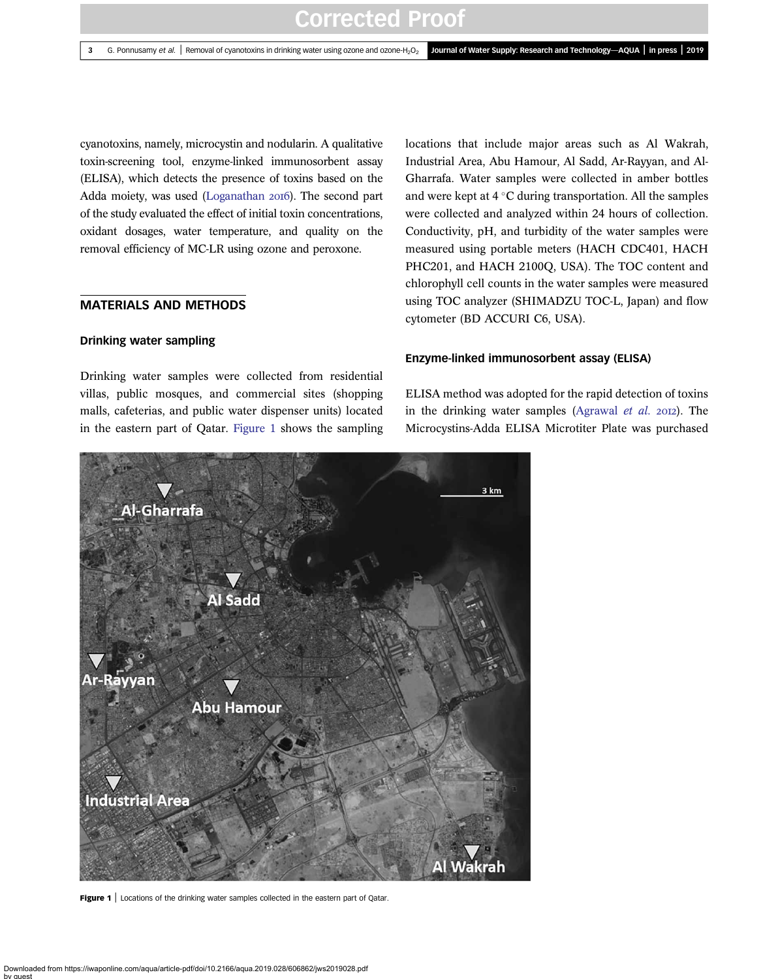cyanotoxins, namely, microcystin and nodularin. A qualitative toxin-screening tool, enzyme-linked immunosorbent assay (ELISA), which detects the presence of toxins based on the Adda moiety, was used [\(Loganathan](#page-10-0) 2016). The second part of the study evaluated the effect of initial toxin concentrations, oxidant dosages, water temperature, and quality on the removal efficiency of MC-LR using ozone and peroxone.

### MATERIALS AND METHODS

#### Drinking water sampling

Drinking water samples were collected from residential villas, public mosques, and commercial sites (shopping malls, cafeterias, and public water dispenser units) located in the eastern part of Qatar. Figure 1 shows the sampling

locations that include major areas such as Al Wakrah, Industrial Area, Abu Hamour, Al Sadd, Ar-Rayyan, and Al-Gharrafa. Water samples were collected in amber bottles and were kept at  $4^{\circ}$ C during transportation. All the samples were collected and analyzed within 24 hours of collection. Conductivity, pH, and turbidity of the water samples were measured using portable meters (HACH CDC401, HACH PHC201, and HACH 2100Q, USA). The TOC content and chlorophyll cell counts in the water samples were measured using TOC analyzer (SHIMADZU TOC-L, Japan) and flow cytometer (BD ACCURI C6, USA).

#### Enzyme-linked immunosorbent assay (ELISA)

ELISA method was adopted for the rapid detection of toxins in the drinking water samples [\(Agrawal](#page-9-0) et al.  $20I2$ ). The Microcystins-Adda ELISA Microtiter Plate was purchased



Figure 1 | Locations of the drinking water samples collected in the eastern part of Qatar.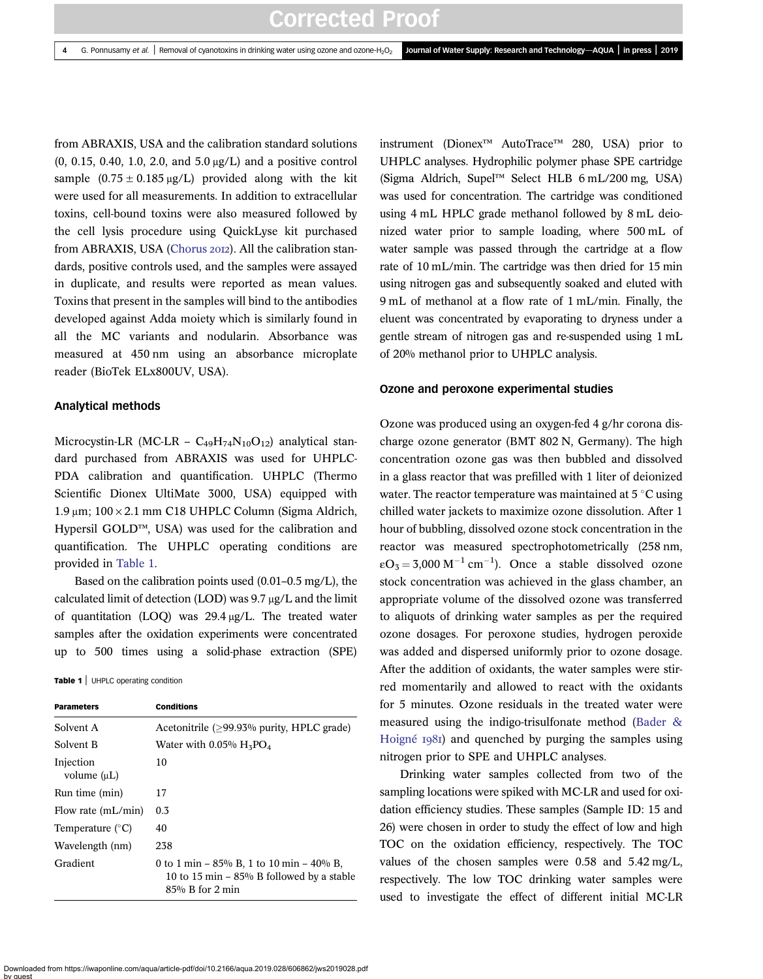from ABRAXIS, USA and the calibration standard solutions (0, 0.15, 0.40, 1.0, 2.0, and 5.0 μg/L) and a positive control sample  $(0.75 \pm 0.185 \,\mu\text{g/L})$  provided along with the kit were used for all measurements. In addition to extracellular toxins, cell-bound toxins were also measured followed by the cell lysis procedure using QuickLyse kit purchased from ABRAXIS, USA [\(Chorus](#page-9-0) 2012). All the calibration standards, positive controls used, and the samples were assayed in duplicate, and results were reported as mean values. Toxins that present in the samples will bind to the antibodies developed against Adda moiety which is similarly found in all the MC variants and nodularin. Absorbance was measured at 450 nm using an absorbance microplate reader (BioTek ELx800UV, USA).

#### Analytical methods

Microcystin-LR (MC-LR –  $C_{49}H_{74}N_{10}O_{12}$ ) analytical standard purchased from ABRAXIS was used for UHPLC-PDA calibration and quantification. UHPLC (Thermo Scientific Dionex UltiMate 3000, USA) equipped with 1.9 μm; 100 × 2.1 mm C18 UHPLC Column (Sigma Aldrich, Hypersil GOLD™, USA) was used for the calibration and quantification. The UHPLC operating conditions are provided in Table 1.

Based on the calibration points used (0.01–0.5 mg/L), the calculated limit of detection (LOD) was 9.7 μg/L and the limit of quantitation (LOQ) was 29.4 μg/L. The treated water samples after the oxidation experiments were concentrated up to 500 times using a solid-phase extraction (SPE)

Table 1 | UHPLC operating condition

| <b>Parameters</b>          | <b>Conditions</b>                                                                                               |
|----------------------------|-----------------------------------------------------------------------------------------------------------------|
| Solvent A                  | Acetonitrile (>99.93% purity, HPLC grade)                                                                       |
| Solvent B                  | Water with $0.05\%$ H <sub>3</sub> PO <sub>4</sub>                                                              |
| Injection<br>volume $(uL)$ | 10                                                                                                              |
| Run time (min)             | 17                                                                                                              |
| Flow rate $(mL/min)$       | $0.3\,$                                                                                                         |
| Temperature $(^{\circ}C)$  | 40                                                                                                              |
| Wavelength (nm)            | 238                                                                                                             |
| Gradient                   | 0 to 1 min – $85\%$ B, 1 to 10 min – 40% B,<br>10 to 15 min $-$ 85% B followed by a stable<br>$85%$ B for 2 min |

instrument (Dionex™ AutoTrace™ 280, USA) prior to UHPLC analyses. Hydrophilic polymer phase SPE cartridge (Sigma Aldrich, Supel™ Select HLB 6 mL/200 mg, USA) was used for concentration. The cartridge was conditioned using 4 mL HPLC grade methanol followed by 8 mL deionized water prior to sample loading, where 500 mL of water sample was passed through the cartridge at a flow rate of 10 mL/min. The cartridge was then dried for 15 min using nitrogen gas and subsequently soaked and eluted with 9 mL of methanol at a flow rate of 1 mL/min. Finally, the eluent was concentrated by evaporating to dryness under a gentle stream of nitrogen gas and re-suspended using 1 mL of 20% methanol prior to UHPLC analysis.

### Ozone and peroxone experimental studies

Ozone was produced using an oxygen-fed 4 g/hr corona discharge ozone generator (BMT 802 N, Germany). The high concentration ozone gas was then bubbled and dissolved in a glass reactor that was prefilled with 1 liter of deionized water. The reactor temperature was maintained at  $5^{\circ}$ C using chilled water jackets to maximize ozone dissolution. After 1 hour of bubbling, dissolved ozone stock concentration in the reactor was measured spectrophotometrically (258 nm,  $\epsilon O_3 = 3{,}000 \text{ M}^{-1} \text{ cm}^{-1}$ ). Once a stable dissolved ozone stock concentration was achieved in the glass chamber, an appropriate volume of the dissolved ozone was transferred to aliquots of drinking water samples as per the required ozone dosages. For peroxone studies, hydrogen peroxide was added and dispersed uniformly prior to ozone dosage. After the addition of oxidants, the water samples were stirred momentarily and allowed to react with the oxidants for 5 minutes. Ozone residuals in the treated water were measured using the indigo-trisulfonate method [\(Bader &](#page-9-0) [Hoigné](#page-9-0) 1981) and quenched by purging the samples using nitrogen prior to SPE and UHPLC analyses.

Drinking water samples collected from two of the sampling locations were spiked with MC-LR and used for oxidation efficiency studies. These samples (Sample ID: 15 and 26) were chosen in order to study the effect of low and high TOC on the oxidation efficiency, respectively. The TOC values of the chosen samples were 0.58 and 5.42 mg/L, respectively. The low TOC drinking water samples were used to investigate the effect of different initial MC-LR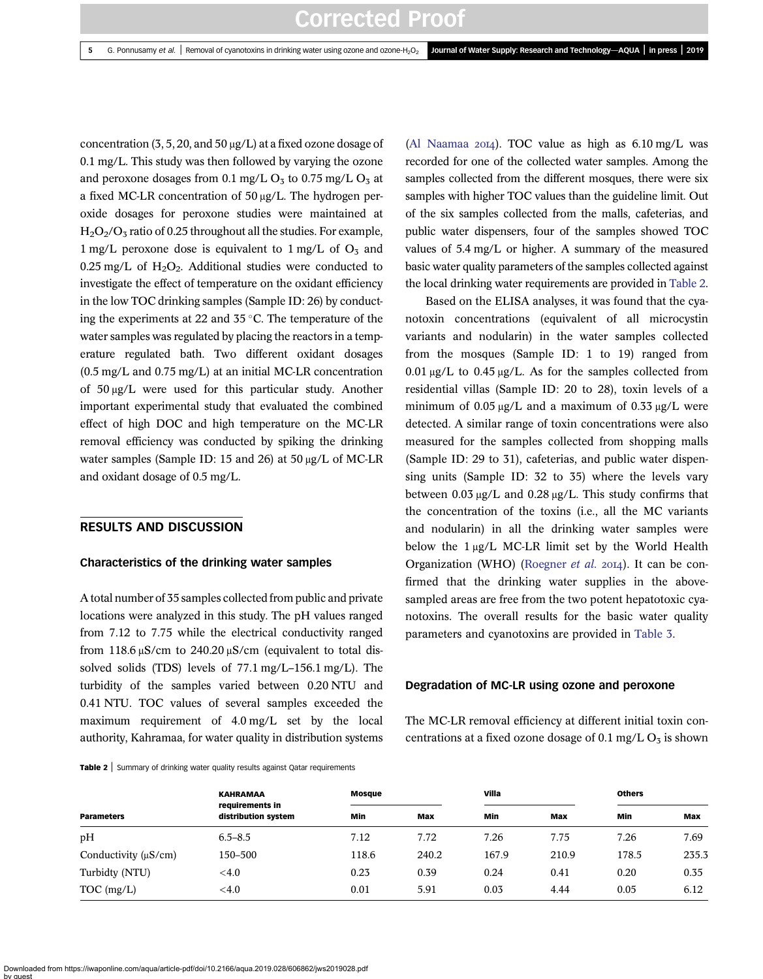concentration (3, 5, 20, and 50 μg/L) at a fixed ozone dosage of 0.1 mg/L. This study was then followed by varying the ozone and peroxone dosages from 0.1 mg/L  $O<sub>5</sub>$  to 0.75 mg/L  $O<sub>5</sub>$  at a fixed MC-LR concentration of 50 μg/L. The hydrogen peroxide dosages for peroxone studies were maintained at  $H<sub>2</sub>O<sub>2</sub>/O<sub>3</sub>$  ratio of 0.25 throughout all the studies. For example, 1 mg/L peroxone dose is equivalent to 1 mg/L of  $O<sub>3</sub>$  and 0.25 mg/L of  $H_2O_2$ . Additional studies were conducted to investigate the effect of temperature on the oxidant efficiency in the low TOC drinking samples (Sample ID: 26) by conducting the experiments at 22 and  $35^{\circ}$ C. The temperature of the water samples was regulated by placing the reactors in a temperature regulated bath. Two different oxidant dosages (0.5 mg/L and 0.75 mg/L) at an initial MC-LR concentration of 50 μg/L were used for this particular study. Another important experimental study that evaluated the combined effect of high DOC and high temperature on the MC-LR removal efficiency was conducted by spiking the drinking water samples (Sample ID: 15 and 26) at 50 μg/L of MC-LR and oxidant dosage of 0.5 mg/L.

### RESULTS AND DISCUSSION

#### Characteristics of the drinking water samples

A total number of 35 samples collected from public and private locations were analyzed in this study. The pH values ranged from 7.12 to 7.75 while the electrical conductivity ranged from 118.6  $\mu$ S/cm to 240.20  $\mu$ S/cm (equivalent to total dissolved solids (TDS) levels of 77.1 mg/L–156.1 mg/L). The turbidity of the samples varied between 0.20 NTU and 0.41 NTU. TOC values of several samples exceeded the maximum requirement of 4.0 mg/L set by the local authority, Kahramaa, for water quality in distribution systems

Table 2 | Summary of drinking water quality results against Qatar requirements

[\(Al Naamaa](#page-9-0)  $20I4$ ). TOC value as high as  $6.10 \text{ mg/L}$  was recorded for one of the collected water samples. Among the samples collected from the different mosques, there were six samples with higher TOC values than the guideline limit. Out of the six samples collected from the malls, cafeterias, and public water dispensers, four of the samples showed TOC values of 5.4 mg/L or higher. A summary of the measured basic water quality parameters of the samples collected against the local drinking water requirements are provided in Table 2.

Based on the ELISA analyses, it was found that the cyanotoxin concentrations (equivalent of all microcystin variants and nodularin) in the water samples collected from the mosques (Sample ID: 1 to 19) ranged from  $0.01 \mu g/L$  to  $0.45 \mu g/L$ . As for the samples collected from residential villas (Sample ID: 20 to 28), toxin levels of a minimum of 0.05 μg/L and a maximum of 0.33 μg/L were detected. A similar range of toxin concentrations were also measured for the samples collected from shopping malls (Sample ID: 29 to 31), cafeterias, and public water dispensing units (Sample ID: 32 to 35) where the levels vary between 0.03 μg/L and 0.28 μg/L. This study confirms that the concentration of the toxins (i.e., all the MC variants and nodularin) in all the drinking water samples were below the 1 μg/L MC-LR limit set by the World Health Organization (WHO) ([Roegner](#page-10-0) et al. 2014). It can be confirmed that the drinking water supplies in the abovesampled areas are free from the two potent hepatotoxic cyanotoxins. The overall results for the basic water quality parameters and cyanotoxins are provided in [Table 3](#page-5-0).

#### Degradation of MC-LR using ozone and peroxone

The MC-LR removal efficiency at different initial toxin concentrations at a fixed ozone dosage of 0.1 mg/L  $O_3$  is shown

|                           | <b>KAHRAMAA</b><br>requirements in<br>distribution system | Mosque |       | Villa |       | <b>Others</b> |       |
|---------------------------|-----------------------------------------------------------|--------|-------|-------|-------|---------------|-------|
| <b>Parameters</b>         |                                                           | Min    | Max   | Min   | Max   | Min           | Max   |
| pH                        | $6.5 - 8.5$                                               | 7.12   | 7.72  | 7.26  | 7.75  | 7.26          | 7.69  |
| Conductivity $(\mu S/cm)$ | 150–500                                                   | 118.6  | 240.2 | 167.9 | 210.9 | 178.5         | 235.3 |
| Turbidty (NTU)            | $<$ 4.0                                                   | 0.23   | 0.39  | 0.24  | 0.41  | 0.20          | 0.35  |
| $TOC$ (mg/L)              | $<$ 4.0                                                   | 0.01   | 5.91  | 0.03  | 4.44  | 0.05          | 6.12  |

Downloaded from https://iwaponline.com/aqua/article-pdf/doi/10.2166/aqua.2019.028/606862/jws2019028.pdf by guest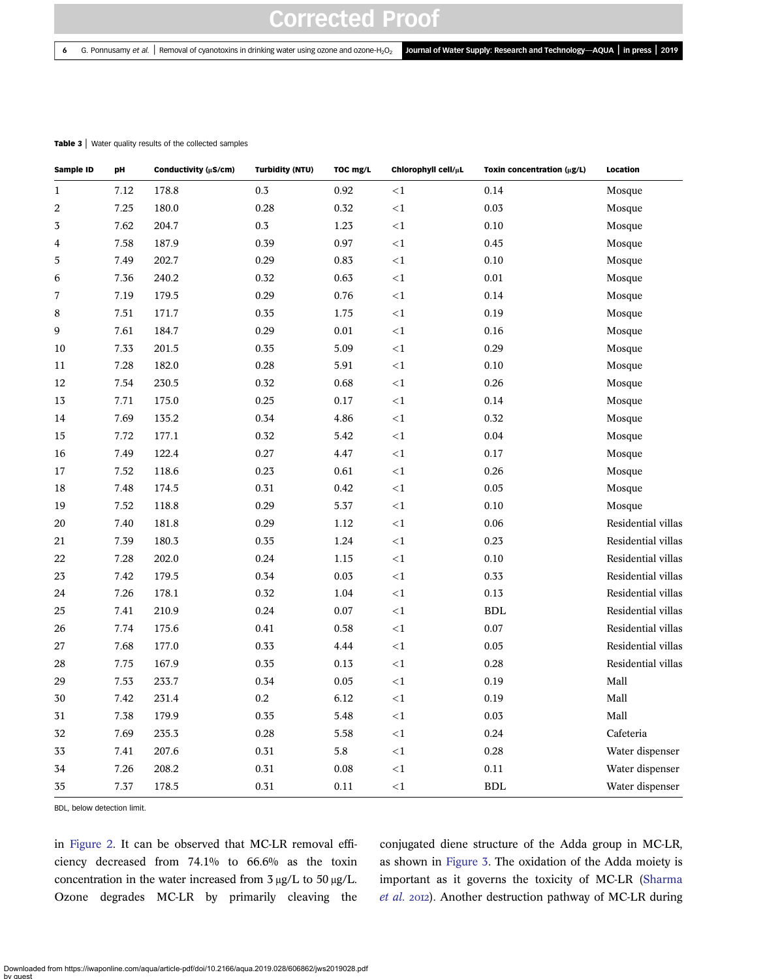#### <span id="page-5-0"></span>Table 3 | Water quality results of the collected samples

| Sample ID               | pH   | Conductivity (µS/cm) | <b>Turbidity (NTU)</b> | TOC mg/L | Chlorophyll cell/µL | Toxin concentration (µg/L) | Location           |
|-------------------------|------|----------------------|------------------------|----------|---------------------|----------------------------|--------------------|
| $\mathbf{1}$            | 7.12 | 178.8                | 0.3                    | 0.92     | $<$ 1               | 0.14                       | Mosque             |
| $\boldsymbol{2}$        | 7.25 | 180.0                | 0.28                   | 0.32     | $\leq$ 1            | 0.03                       | Mosque             |
| 3                       | 7.62 | 204.7                | $0.3\,$                | 1.23     | ${<}1$              | $0.10\,$                   | Mosque             |
| $\overline{\mathbf{4}}$ | 7.58 | 187.9                | 0.39                   | 0.97     | ${<}1$              | 0.45                       | Mosque             |
| 5                       | 7.49 | 202.7                | 0.29                   | 0.83     | $\leq 1$            | 0.10                       | Mosque             |
| 6                       | 7.36 | 240.2                | 0.32                   | 0.63     | $\leq$ 1            | $0.01\,$                   | Mosque             |
| 7                       | 7.19 | 179.5                | 0.29                   | 0.76     | $\leq$ 1            | 0.14                       | Mosque             |
| 8                       | 7.51 | 171.7                | 0.35                   | 1.75     | $\leq 1$            | 0.19                       | Mosque             |
| 9                       | 7.61 | 184.7                | 0.29                   | 0.01     | <1                  | 0.16                       | Mosque             |
| 10                      | 7.33 | 201.5                | 0.35                   | 5.09     | <1                  | 0.29                       | Mosque             |
| 11                      | 7.28 | 182.0                | 0.28                   | 5.91     | $\leq$ 1            | $0.10\,$                   | Mosque             |
| 12                      | 7.54 | 230.5                | 0.32                   | 0.68     | $<$ 1               | 0.26                       | Mosque             |
| 13                      | 7.71 | 175.0                | 0.25                   | 0.17     | $<$ 1               | 0.14                       | Mosque             |
| 14                      | 7.69 | 135.2                | 0.34                   | 4.86     | $\leq 1$            | 0.32                       | Mosque             |
| 15                      | 7.72 | 177.1                | 0.32                   | 5.42     | $<\!1$              | 0.04                       | Mosque             |
| 16                      | 7.49 | 122.4                | 0.27                   | 4.47     | $\leq$ 1            | $0.17\,$                   | Mosque             |
| 17                      | 7.52 | 118.6                | 0.23                   | 0.61     | $\leq$ 1            | 0.26                       | Mosque             |
| 18                      | 7.48 | 174.5                | 0.31                   | 0.42     | $\leq 1$            | $0.05\,$                   | Mosque             |
| 19                      | 7.52 | 118.8                | 0.29                   | 5.37     | $\leq 1$            | $0.10\,$                   | Mosque             |
| 20                      | 7.40 | 181.8                | 0.29                   | 1.12     | <1                  | 0.06                       | Residential villas |
| 21                      | 7.39 | 180.3                | 0.35                   | 1.24     | $<$ 1               | 0.23                       | Residential villas |
| 22                      | 7.28 | 202.0                | 0.24                   | 1.15     | $\leq$ 1            | 0.10                       | Residential villas |
| 23                      | 7.42 | 179.5                | 0.34                   | 0.03     | $\leq 1$            | 0.33                       | Residential villas |
| 24                      | 7.26 | 178.1                | 0.32                   | 1.04     | $<1\,$              | 0.13                       | Residential villas |
| 25                      | 7.41 | 210.9                | 0.24                   | 0.07     | $<1\,$              | <b>BDL</b>                 | Residential villas |
| 26                      | 7.74 | 175.6                | 0.41                   | 0.58     | $<$ 1               | $0.07\,$                   | Residential villas |
| 27                      | 7.68 | 177.0                | 0.33                   | 4.44     | $<$ 1               | $0.05\,$                   | Residential villas |
| 28                      | 7.75 | 167.9                | 0.35                   | $0.13\,$ | $<1\,$              | 0.28                       | Residential villas |
| 29                      | 7.53 | 233.7                | 0.34                   | 0.05     | $<1\,$              | 0.19                       | Mall               |
| 30                      | 7.42 | 231.4                | 0.2                    | 6.12     | $<1\,$              | 0.19                       | Mall               |
| 31                      | 7.38 | 179.9                | 0.35                   | 5.48     | $<$ 1               | $0.03\,$                   | Mall               |
| 32                      | 7.69 | 235.3                | 0.28                   | 5.58     | $<$ 1               | 0.24                       | Cafeteria          |
| 33                      | 7.41 | 207.6                | 0.31                   | 5.8      | $<1\,$              | 0.28                       | Water dispenser    |
| 34                      | 7.26 | 208.2                | 0.31                   | 0.08     | $\leq 1$            | $0.11\,$                   | Water dispenser    |
| 35                      | 7.37 | 178.5                | 0.31                   | 0.11     | <1                  | <b>BDL</b>                 | Water dispenser    |

BDL, below detection limit.

in [Figure 2](#page-6-0). It can be observed that MC-LR removal efficiency decreased from 74.1% to 66.6% as the toxin concentration in the water increased from 3 μg/L to 50 μg/L. Ozone degrades MC-LR by primarily cleaving the

conjugated diene structure of the Adda group in MC-LR, as shown in [Figure 3](#page-6-0). The oxidation of the Adda moiety is important as it governs the toxicity of MC-LR ([Sharma](#page-10-0) [et al.](#page-10-0) 2012). Another destruction pathway of MC-LR during

Downloaded from https://iwaponline.com/aqua/article-pdf/doi/10.2166/aqua.2019.028/606862/jws2019028.pdf by guest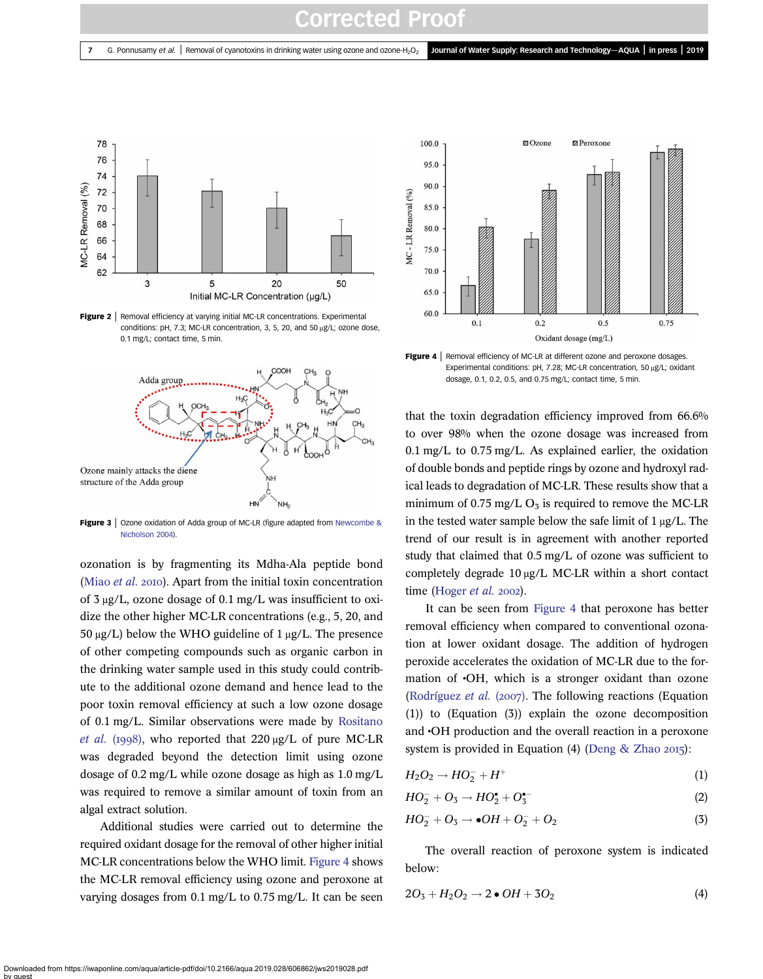<span id="page-6-0"></span>

Figure 2 | Removal efficiency at varying initial MC-LR concentrations. Experimental conditions: pH, 7.3; MC-LR concentration, 3, 5, 20, and 50 μg/L; ozone dose, 0.1 mg/L; contact time, 5 min.



Figure 3 | Ozone oxidation of Adda group of MC-LR (figure adapted from [Newcombe &](#page-10-0) [Nicholson 2004](#page-10-0)).

ozonation is by fragmenting its Mdha-Ala peptide bond [\(Miao](#page-10-0)  $et$   $al.$  2010). Apart from the initial toxin concentration of 3 μg/L, ozone dosage of 0.1 mg/L was insufficient to oxidize the other higher MC-LR concentrations (e.g., 5, 20, and  $50 \mu g/L$ ) below the WHO guideline of 1  $\mu g/L$ . The presence of other competing compounds such as organic carbon in the drinking water sample used in this study could contribute to the additional ozone demand and hence lead to the poor toxin removal efficiency at such a low ozone dosage of 0.1 mg/L. Similar observations were made by [Rositano](#page-10-0) [et al.](#page-10-0) (1998), who reported that  $220 \mu g/L$  of pure MC-LR was degraded beyond the detection limit using ozone dosage of 0.2 mg/L while ozone dosage as high as 1.0 mg/L was required to remove a similar amount of toxin from an algal extract solution.

Additional studies were carried out to determine the required oxidant dosage for the removal of other higher initial MC-LR concentrations below the WHO limit. Figure 4 shows the MC-LR removal efficiency using ozone and peroxone at varying dosages from 0.1 mg/L to 0.75 mg/L. It can be seen



**Figure 4** | Removal efficiency of MC-LR at different ozone and peroxone dosages. Experimental conditions: pH, 7.28; MC-LR concentration, 50 μg/L; oxidant dosage, 0.1, 0.2, 0.5, and 0.75 mg/L; contact time, 5 min.

that the toxin degradation efficiency improved from 66.6% to over 98% when the ozone dosage was increased from 0.1 mg/L to 0.75 mg/L. As explained earlier, the oxidation of double bonds and peptide rings by ozone and hydroxyl radical leads to degradation of MC-LR. These results show that a minimum of 0.75 mg/L  $O_3$  is required to remove the MC-LR in the tested water sample below the safe limit of 1 μg/L. The trend of our result is in agreement with another reported study that claimed that 0.5 mg/L of ozone was sufficient to completely degrade 10 μg/L MC-LR within a short contact time ([Hoger](#page-9-0)  $et$  al. 2002).

It can be seen from Figure 4 that peroxone has better removal efficiency when compared to conventional ozonation at lower oxidant dosage. The addition of hydrogen peroxide accelerates the oxidation of MC-LR due to the formation of •OH, which is a stronger oxidant than ozone [\(Rodríguez](#page-10-0) et al. (2007). The following reactions (Equation (1)) to (Equation (3)) explain the ozone decomposition and •OH production and the overall reaction in a peroxone system is provided in Equation (4) [\(Deng & Zhao](#page-9-0)  $2015$ ):

$$
H_2O_2 \rightarrow HO_2^- + H^+ \tag{1}
$$

$$
HO_2^- + O_3 \rightarrow HO_2^{\bullet} + O_3^{\bullet-}
$$
 (2)

$$
HO_2^- + O_3 \rightarrow \bullet OH + O_2^- + O_2 \tag{3}
$$

The overall reaction of peroxone system is indicated below:

$$
2O3 + H2O2 \rightarrow 2 \bullet OH + 3O2
$$
 (4)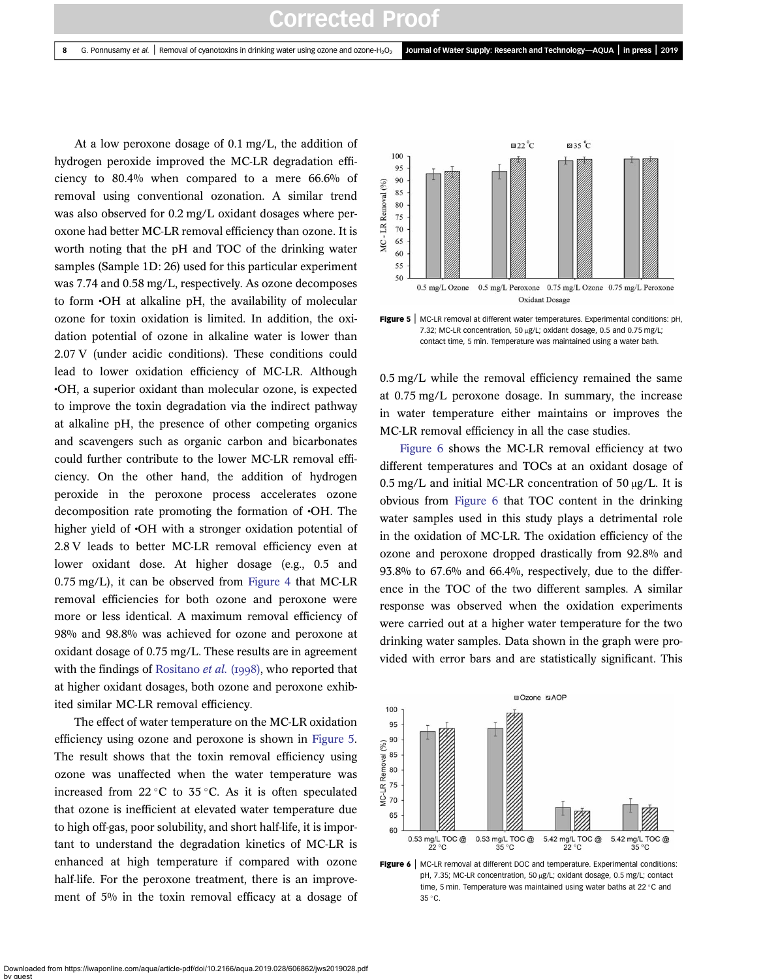At a low peroxone dosage of 0.1 mg/L, the addition of hydrogen peroxide improved the MC-LR degradation efficiency to 80.4% when compared to a mere 66.6% of removal using conventional ozonation. A similar trend was also observed for 0.2 mg/L oxidant dosages where peroxone had better MC-LR removal efficiency than ozone. It is worth noting that the pH and TOC of the drinking water samples (Sample 1D: 26) used for this particular experiment was 7.74 and 0.58 mg/L, respectively. As ozone decomposes to form •OH at alkaline pH, the availability of molecular ozone for toxin oxidation is limited. In addition, the oxidation potential of ozone in alkaline water is lower than 2.07 V (under acidic conditions). These conditions could lead to lower oxidation efficiency of MC-LR. Although •OH, a superior oxidant than molecular ozone, is expected to improve the toxin degradation via the indirect pathway at alkaline pH, the presence of other competing organics and scavengers such as organic carbon and bicarbonates could further contribute to the lower MC-LR removal efficiency. On the other hand, the addition of hydrogen peroxide in the peroxone process accelerates ozone decomposition rate promoting the formation of •OH. The higher yield of  $\cdot$ OH with a stronger oxidation potential of 2.8 V leads to better MC-LR removal efficiency even at lower oxidant dose. At higher dosage (e.g., 0.5 and 0.75 mg/L), it can be observed from [Figure 4](#page-6-0) that MC-LR removal efficiencies for both ozone and peroxone were more or less identical. A maximum removal efficiency of 98% and 98.8% was achieved for ozone and peroxone at oxidant dosage of 0.75 mg/L. These results are in agreement with the findings of [Rositano](#page-10-0)  $et$  al. (1998), who reported that at higher oxidant dosages, both ozone and peroxone exhibited similar MC-LR removal efficiency.

The effect of water temperature on the MC-LR oxidation efficiency using ozone and peroxone is shown in Figure 5. The result shows that the toxin removal efficiency using ozone was unaffected when the water temperature was increased from 22 °C to 35 °C. As it is often speculated that ozone is inefficient at elevated water temperature due to high off-gas, poor solubility, and short half-life, it is important to understand the degradation kinetics of MC-LR is enhanced at high temperature if compared with ozone half-life. For the peroxone treatment, there is an improvement of 5% in the toxin removal efficacy at a dosage of



Figure 5 | MC-LR removal at different water temperatures. Experimental conditions: pH, 7.32; MC-LR concentration, 50 μg/L; oxidant dosage, 0.5 and 0.75 mg/L; contact time, 5 min. Temperature was maintained using a water bath.

0.5 mg/L while the removal efficiency remained the same at 0.75 mg/L peroxone dosage. In summary, the increase in water temperature either maintains or improves the MC-LR removal efficiency in all the case studies.

Figure 6 shows the MC-LR removal efficiency at two different temperatures and TOCs at an oxidant dosage of  $0.5$  mg/L and initial MC-LR concentration of  $50 \mu g/L$ . It is obvious from Figure 6 that TOC content in the drinking water samples used in this study plays a detrimental role in the oxidation of MC-LR. The oxidation efficiency of the ozone and peroxone dropped drastically from 92.8% and 93.8% to 67.6% and 66.4%, respectively, due to the difference in the TOC of the two different samples. A similar response was observed when the oxidation experiments were carried out at a higher water temperature for the two drinking water samples. Data shown in the graph were provided with error bars and are statistically significant. This



Figure 6 | MC-LR removal at different DOC and temperature. Experimental conditions: pH, 7.35; MC-LR concentration, 50 μg/L; oxidant dosage, 0.5 mg/L; contact time, 5 min. Temperature was maintained using water baths at 22 °C and 35 C.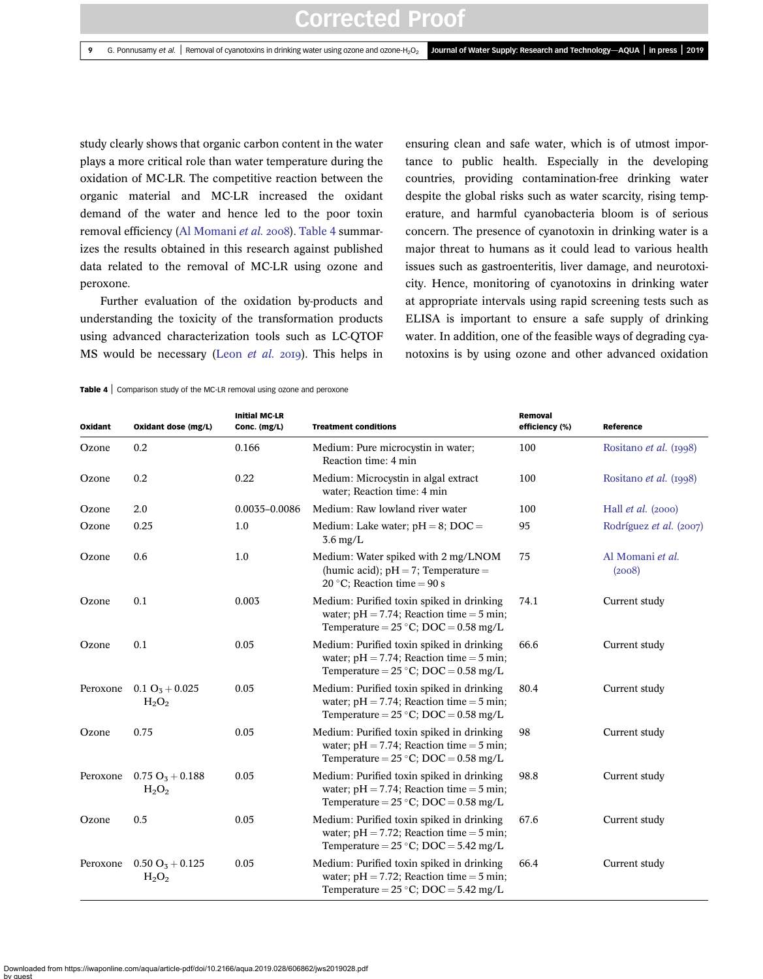study clearly shows that organic carbon content in the water plays a more critical role than water temperature during the oxidation of MC-LR. The competitive reaction between the organic material and MC-LR increased the oxidant demand of the water and hence led to the poor toxin removal efficiency [\(Al Momani](#page-9-0) et al. 2008). Table 4 summarizes the results obtained in this research against published data related to the removal of MC-LR using ozone and peroxone.

Further evaluation of the oxidation by-products and understanding the toxicity of the transformation products using advanced characterization tools such as LC-QTOF MS would be necessary (Leon [et al.](#page-10-0) 2019). This helps in ensuring clean and safe water, which is of utmost importance to public health. Especially in the developing countries, providing contamination-free drinking water despite the global risks such as water scarcity, rising temperature, and harmful cyanobacteria bloom is of serious concern. The presence of cyanotoxin in drinking water is a major threat to humans as it could lead to various health issues such as gastroenteritis, liver damage, and neurotoxicity. Hence, monitoring of cyanotoxins in drinking water at appropriate intervals using rapid screening tests such as ELISA is important to ensure a safe supply of drinking water. In addition, one of the feasible ways of degrading cyanotoxins is by using ozone and other advanced oxidation

Table 4 | Comparison study of the MC-LR removal using ozone and peroxone

| Oxidant  | Oxidant dose (mg/L)                    | <b>Initial MC-LR</b><br>Conc. (mg/L) | <b>Treatment conditions</b>                                                                                                                 | Removal<br>efficiency (%) | Reference                   |
|----------|----------------------------------------|--------------------------------------|---------------------------------------------------------------------------------------------------------------------------------------------|---------------------------|-----------------------------|
| Ozone    | 0.2                                    | 0.166                                | Medium: Pure microcystin in water;<br>Reaction time: 4 min                                                                                  | 100                       | Rositano et al. (1998)      |
| Ozone    | 0.2                                    | 0.22                                 | Medium: Microcystin in algal extract<br>water; Reaction time: 4 min                                                                         | 100                       | Rositano et al. (1998)      |
| Ozone    | 2.0                                    | 0.0035-0.0086                        | Medium: Raw lowland river water                                                                                                             | 100                       | Hall <i>et al.</i> $(2000)$ |
| Ozone    | 0.25                                   | 1.0                                  | Medium: Lake water; $pH = 8$ ; DOC =<br>$3.6 \text{ mg/L}$                                                                                  | 95                        | Rodríguez et al. (2007)     |
| Ozone    | 0.6                                    | 1.0                                  | Medium: Water spiked with 2 mg/LNOM<br>(humic acid); $pH = 7$ ; Temperature =<br>20 °C; Reaction time = 90 s                                | 75                        | Al Momani et al.<br>(2008)  |
| Ozone    | 0.1                                    | 0.003                                | Medium: Purified toxin spiked in drinking<br>water; $pH = 7.74$ ; Reaction time = 5 min;<br>Temperature = $25^{\circ}$ C; DOC = 0.58 mg/L   | 74.1                      | Current study               |
| Ozone    | 0.1                                    | 0.05                                 | Medium: Purified toxin spiked in drinking<br>water; $pH = 7.74$ ; Reaction time = 5 min;<br>Temperature = $25^{\circ}$ C; DOC = 0.58 mg/L   | 66.6                      | Current study               |
| Peroxone | $0.1 \text{ O}_3 + 0.025$<br>$H_2O_2$  | 0.05                                 | Medium: Purified toxin spiked in drinking<br>water; $pH = 7.74$ ; Reaction time = 5 min;<br>Temperature = $25 °C$ ; DOC = 0.58 mg/L         | 80.4                      | Current study               |
| Ozone    | 0.75                                   | 0.05                                 | Medium: Purified toxin spiked in drinking<br>water; $pH = 7.74$ ; Reaction time = 5 min;<br>Temperature = $25^{\circ}$ C; DOC = 0.58 mg/L   | 98                        | Current study               |
| Peroxone | $0.75 \text{ O}_3 + 0.188$<br>$H_2O_2$ | 0.05                                 | Medium: Purified toxin spiked in drinking<br>water; $pH = 7.74$ ; Reaction time = 5 min;<br>Temperature = $25^{\circ}$ C; DOC = 0.58 mg/L   | 98.8                      | Current study               |
| Ozone    | 0.5                                    | 0.05                                 | Medium: Purified toxin spiked in drinking<br>water; $pH = 7.72$ ; Reaction time = 5 min;<br>Temperature = $25 °C$ ; DOC = $5.42$ mg/L       | 67.6                      | Current study               |
| Peroxone | $0.50 O_3 + 0.125$<br>$H_2O_2$         | 0.05                                 | Medium: Purified toxin spiked in drinking<br>water; $pH = 7.72$ ; Reaction time = 5 min;<br>Temperature = $25^{\circ}$ C; DOC = $5.42$ mg/L | 66.4                      | Current study               |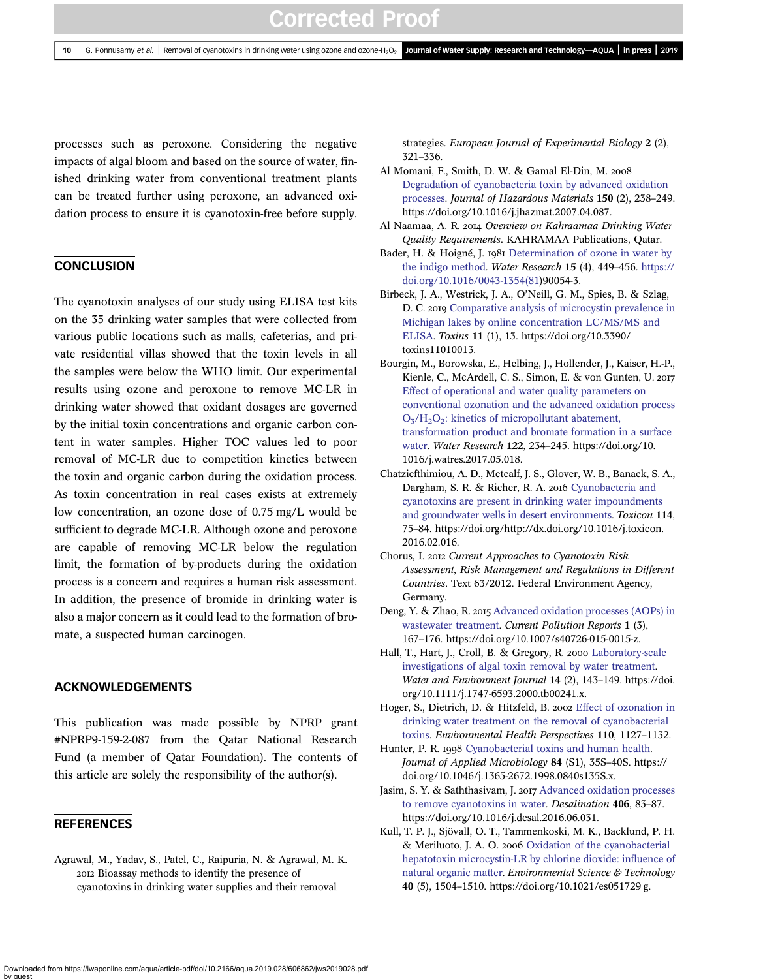<span id="page-9-0"></span>processes such as peroxone. Considering the negative impacts of algal bloom and based on the source of water, finished drinking water from conventional treatment plants can be treated further using peroxone, an advanced oxidation process to ensure it is cyanotoxin-free before supply.

## **CONCLUSION**

The cyanotoxin analyses of our study using ELISA test kits on the 35 drinking water samples that were collected from various public locations such as malls, cafeterias, and private residential villas showed that the toxin levels in all the samples were below the WHO limit. Our experimental results using ozone and peroxone to remove MC-LR in drinking water showed that oxidant dosages are governed by the initial toxin concentrations and organic carbon content in water samples. Higher TOC values led to poor removal of MC-LR due to competition kinetics between the toxin and organic carbon during the oxidation process. As toxin concentration in real cases exists at extremely low concentration, an ozone dose of 0.75 mg/L would be sufficient to degrade MC-LR. Although ozone and peroxone are capable of removing MC-LR below the regulation limit, the formation of by-products during the oxidation process is a concern and requires a human risk assessment. In addition, the presence of bromide in drinking water is also a major concern as it could lead to the formation of bromate, a suspected human carcinogen.

#### ACKNOWLEDGEMENTS

This publication was made possible by NPRP grant #NPRP9-159-2-087 from the Qatar National Research Fund (a member of Qatar Foundation). The contents of this article are solely the responsibility of the author(s).

#### **REFERENCES**

Agrawal, M., Yadav, S., Patel, C., Raipuria, N. & Agrawal, M. K. Bioassay methods to identify the presence of cyanotoxins in drinking water supplies and their removal

strategies. European Journal of Experimental Biology 2 (2), 321–336.

- Al Momani, F., Smith, D. W. & Gamal El-Din, M. [Degradation of cyanobacteria toxin by advanced oxidation](http://dx.doi.org/10.1016/j.jhazmat.2007.04.087) [processes.](http://dx.doi.org/10.1016/j.jhazmat.2007.04.087) Journal of Hazardous Materials 150 (2), 238–249. https://doi.org/10.1016/j.jhazmat.2007.04.087.
- Al Naamaa, A. R. 2014 Overview on Kahraamaa Drinking Water Quality Requirements. KAHRAMAA Publications, Qatar.
- Bader, H. & Hoigné, J. 1981 [Determination of ozone in water by](http://dx.doi.org/10.1016/0043-1354(81)90054-3) [the indigo method](http://dx.doi.org/10.1016/0043-1354(81)90054-3). Water Research 15 (4), 449–456. [https://](https://doi.org/10.1016/0043-1354(81) [doi.org/10.1016/0043-1354\(81](https://doi.org/10.1016/0043-1354(81))90054-3.
- Birbeck, J. A., Westrick, J. A., O'Neill, G. M., Spies, B. & Szlag, D. C. 2019 [Comparative analysis of microcystin prevalence in](http://dx.doi.org/10.3390/toxins11010013) [Michigan lakes by online concentration LC/MS/MS and](http://dx.doi.org/10.3390/toxins11010013) [ELISA](http://dx.doi.org/10.3390/toxins11010013). Toxins 11 (1), 13. https://doi.org/10.3390/ toxins11010013.
- Bourgin, M., Borowska, E., Helbing, J., Hollender, J., Kaiser, H.-P., Kienle, C., McArdell, C. S., Simon, E. & von Gunten, U. 2017 [Effect of operational and water quality parameters on](http://dx.doi.org/10.1016/j.watres.2017.05.018) [conventional ozonation and the advanced oxidation process](http://dx.doi.org/10.1016/j.watres.2017.05.018)  $O<sub>3</sub>/H<sub>2</sub>O<sub>2</sub>$ : kinetics of micropollutant abatement, [transformation product and bromate formation in a surface](http://dx.doi.org/10.1016/j.watres.2017.05.018) [water](http://dx.doi.org/10.1016/j.watres.2017.05.018). Water Research 122, 234–245. https://doi.org/10. 1016/j.watres.2017.05.018.
- Chatziefthimiou, A. D., Metcalf, J. S., Glover, W. B., Banack, S. A., Dargham, S. R. & Richer, R. A. 2016 [Cyanobacteria and](http://dx.doi.org/10.1016/j.toxicon.2016.02.016) [cyanotoxins are present in drinking water impoundments](http://dx.doi.org/10.1016/j.toxicon.2016.02.016) [and groundwater wells in desert environments.](http://dx.doi.org/10.1016/j.toxicon.2016.02.016) Toxicon 114, 75–84. https://doi.org/http://dx.doi.org/10.1016/j.toxicon. 2016.02.016.
- Chorus, I. 2012 Current Approaches to Cyanotoxin Risk Assessment, Risk Management and Regulations in Different Countries. Text 63/2012. Federal Environment Agency, Germany.
- Deng, Y. & Zhao, R. 2015 [Advanced oxidation processes \(AOPs\) in](http://dx.doi.org/10.1007/s40726-015-0015-z) [wastewater treatment.](http://dx.doi.org/10.1007/s40726-015-0015-z) Current Pollution Reports 1 (3), 167–176. https://doi.org/10.1007/s40726-015-0015-z.
- Hall, T., Hart, J., Croll, B. & Gregory, R. 2000 [Laboratory-scale](http://dx.doi.org/10.1111/j.1747-6593.2000.tb00241.x) [investigations of algal toxin removal by water treatment](http://dx.doi.org/10.1111/j.1747-6593.2000.tb00241.x). Water and Environment Journal 14 (2), 143–149. https://doi. org/10.1111/j.1747-6593.2000.tb00241.x.
- Hoger, S., Dietrich, D. & Hitzfeld, B. 2002 [Effect of ozonation in](http://dx.doi.org/10.1289/ehp.021101127) [drinking water treatment on the removal of cyanobacterial](http://dx.doi.org/10.1289/ehp.021101127) [toxins](http://dx.doi.org/10.1289/ehp.021101127). Environmental Health Perspectives 110, 1127–1132.
- Hunter, P. R. 1998 [Cyanobacterial toxins and human health.](http://dx.doi.org/10.1046/j.1365-2672.1998.0840s135S.x) Journal of Applied Microbiology 84 (S1), 35S–40S. https:// doi.org/10.1046/j.1365-2672.1998.0840s135S.x.
- Jasim, S. Y. & Saththasivam, J. 2017 [Advanced oxidation processes](http://dx.doi.org/10.1016/j.desal.2016.06.031) [to remove cyanotoxins in water.](http://dx.doi.org/10.1016/j.desal.2016.06.031) Desalination 406, 83–87. https://doi.org/10.1016/j.desal.2016.06.031.
- Kull, T. P. J., Sjövall, O. T., Tammenkoski, M. K., Backlund, P. H. & Meriluoto, J. A. O. 2006 [Oxidation of the cyanobacterial](http://dx.doi.org/10.1021/es051729g) [hepatotoxin microcystin-LR by chlorine dioxide: in](http://dx.doi.org/10.1021/es051729g)fluence of [natural organic matter.](http://dx.doi.org/10.1021/es051729g) Environmental Science & Technology 40 (5), 1504–1510. https://doi.org/10.1021/es051729 g.